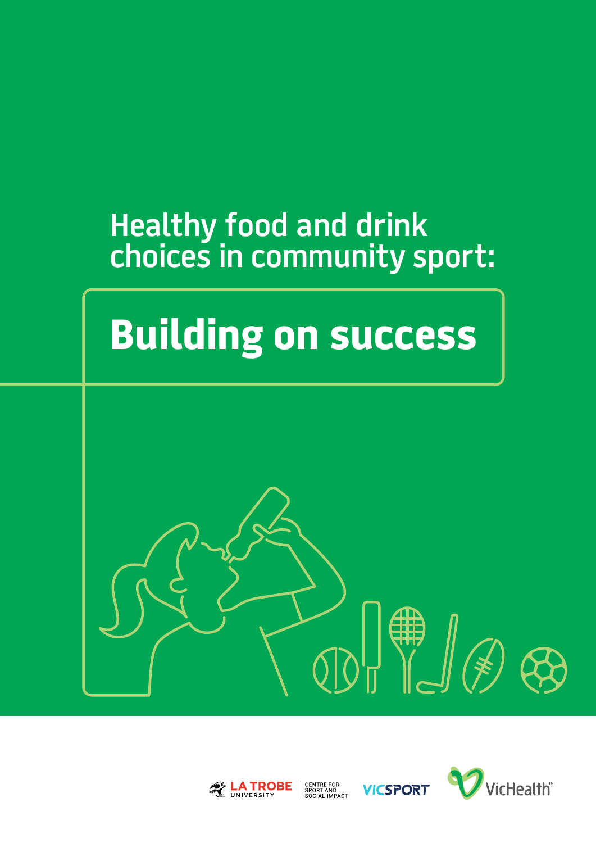## **Healthy food and drink choices in community sport:**

# **Building on success**





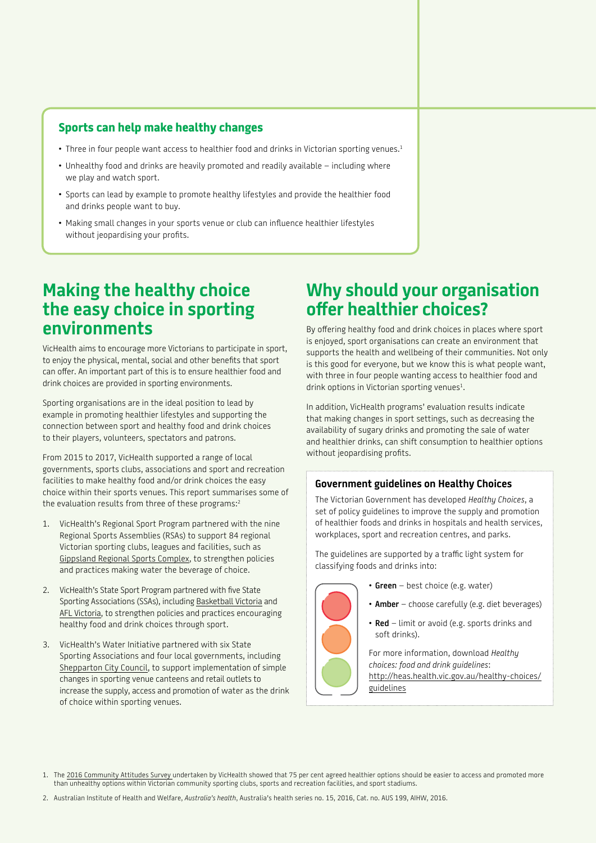## **Sports can help make healthy changes**

- Three in four people want access to healthier food and drinks in Victorian sporting venues.<sup>1</sup>
- Unhealthy food and drinks are heavily promoted and readily available including where we play and watch sport.
- Sports can lead by example to promote healthy lifestyles and provide the healthier food and drinks people want to buy.
- Making small changes in your sports venue or club can influence healthier lifestyles without jeopardising your profits.

## **Making the healthy choice the easy choice in sporting environments**

VicHealth aims to encourage more Victorians to participate in sport, to enjoy the physical, mental, social and other benefits that sport can offer. An important part of this is to ensure healthier food and drink choices are provided in sporting environments.

Sporting organisations are in the ideal position to lead by example in promoting healthier lifestyles and supporting the connection between sport and healthy food and drink choices to their players, volunteers, spectators and patrons.

From 2015 to 2017, VicHealth supported a range of local governments, sports clubs, associations and sport and recreation facilities to make healthy food and/or drink choices the easy choice within their sports venues. This report summarises some of the evaluation results from three of these programs:2

- 1. VicHealth's Regional Sport Program partnered with the nine Regional Sports Assemblies (RSAs) to support 84 regional Victorian sporting clubs, leagues and facilities, such as Gippsland Regional Sports Complex, to strengthen policies and practices making water the beverage of choice.
- 2. VicHealth's State Sport Program partnered with five State Sporting Associations (SSAs), including Basketball Victoria and AFL Victoria, to strengthen policies and practices encouraging healthy food and drink choices through sport.
- 3. VicHealth's Water Initiative partnered with six State Sporting Associations and four local governments, including Shepparton City Council, to support implementation of simple changes in sporting venue canteens and retail outlets to increase the supply, access and promotion of water as the drink of choice within sporting venues.

## **Why should your organisation offer healthier choices?**

By offering healthy food and drink choices in places where sport is enjoyed, sport organisations can create an environment that supports the health and wellbeing of their communities. Not only is this good for everyone, but we know this is what people want, with three in four people wanting access to healthier food and drink options in Victorian sporting venues $^1$ .

In addition, VicHealth programs' evaluation results indicate that making changes in sport settings, such as decreasing the availability of sugary drinks and promoting the sale of water and healthier drinks, can shift consumption to healthier options without jeopardising profits.

## **Government guidelines on Healthy Choices**

The Victorian Government has developed *Healthy Choices*, a set of policy guidelines to improve the supply and promotion of healthier foods and drinks in hospitals and health services, workplaces, sport and recreation centres, and parks.

The guidelines are supported by a traffic light system for classifying foods and drinks into:



- **• Green** best choice (e.g. water)
- **• Amber** choose carefully (e.g. diet beverages)
- **Red** limit or avoid (e.g. sports drinks and soft drinks).

For more information, download *Healthy choices: food and drink guidelines*: [http://heas.health.vic.gov.au/healthy-choices/](http://heas.health.vic.gov.au/healthy-choices/guidelines) [guidelines](http://heas.health.vic.gov.au/healthy-choices/guidelines)

<sup>1.</sup> The [2016 Community Attitudes Survey u](https://www.vichealth.vic.gov.au/media-and-resources/publications/community-attitudes-survey-healthy-sporting-environments)ndertaken by VicHealth showed that 75 per cent agreed healthier options should be easier to access and promoted more than unhealthy options within Victorian community sporting clubs, sports and recreation facilities, and sport stadiums.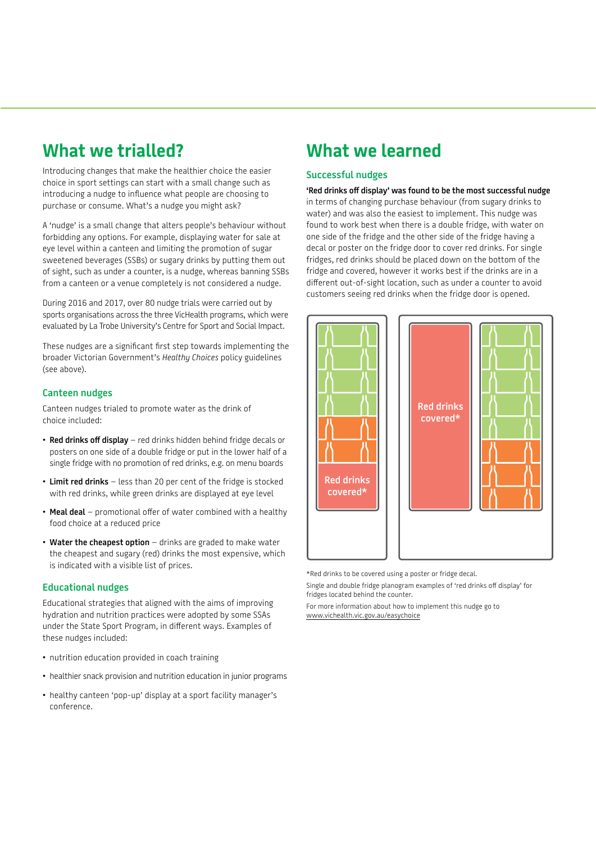## **What we trialled?**

Introducing changes that make the healthier choice the easier choice in sport settings can start with a small change such as introducing a nudge to influence what people are choosing to purchase or consume. What's a nudge you might ask?

A 'nudge' is a small change that alters people's behaviour without forbidding any options. For example, displaying water for sale at eye level within a canteen and limiting the promotion of sugar sweetened beverages (SSBs) or sugary drinks by putting them out of sight, such as under a counter, is a nudge, whereas banning SSBs from a canteen or a venue completely is not considered a nudge.

During 2016 and 2017, over 80 nudge trials were carried out by sports organisations across the three VicHealth programs, which were evaluated by La Trobe University's Centre for Sport and Social Impact.

These nudges are a significant first step towards implementing the broader Victorian Government's *Healthy Choices* policy guidelines (see above).

## **Canteen nudges**

Canteen nudges trialed to promote water as the drink of choice included:

- **Red drinks off display** red drinks hidden behind fridge decals or posters on one side of a double fridge or put in the lower half of a single fridge with no promotion of red drinks, e.g. on menu boards
- **Limit red drinks** less than 20 per cent of the fridge is stocked with red drinks, while green drinks are displayed at eye level
- **Meal deal** promotional offer of water combined with a healthy food choice at a reduced price
- **Water the cheapest option** drinks are graded to make water the cheapest and sugary (red) drinks the most expensive, which is indicated with a visible list of prices.

## **Educational nudges**

Educational strategies that aligned with the aims of improving hydration and nutrition practices were adopted by some SSAs under the State Sport Program, in different ways. Examples of these nudges included:

- nutrition education provided in coach training
- healthier snack provision and nutrition education in junior programs
- healthy canteen 'pop-up' display at a sport facility manager's conference.

## **What we learned**

## **Successful nudges**

**'Red drinks off display' was found to be the most successful nudge** in terms of changing purchase behaviour (from sugary drinks to water) and was also the easiest to implement. This nudge was found to work best when there is a double fridge, with water on one side of the fridge and the other side of the fridge having a decal or poster on the fridge door to cover red drinks. For single fridges, red drinks should be placed down on the bottom of the fridge and covered, however it works best if the drinks are in a different out-of-sight location, such as under a counter to avoid customers seeing red drinks when the fridge door is opened.



\*Red drinks to be covered using a poster or fridge decal.

Single and double fridge planogram examples of 'red drinks off display' for fridges located behind the counter.

For more information about how to implement this nudge go to www.vichealth.vic.gov.au/easychoice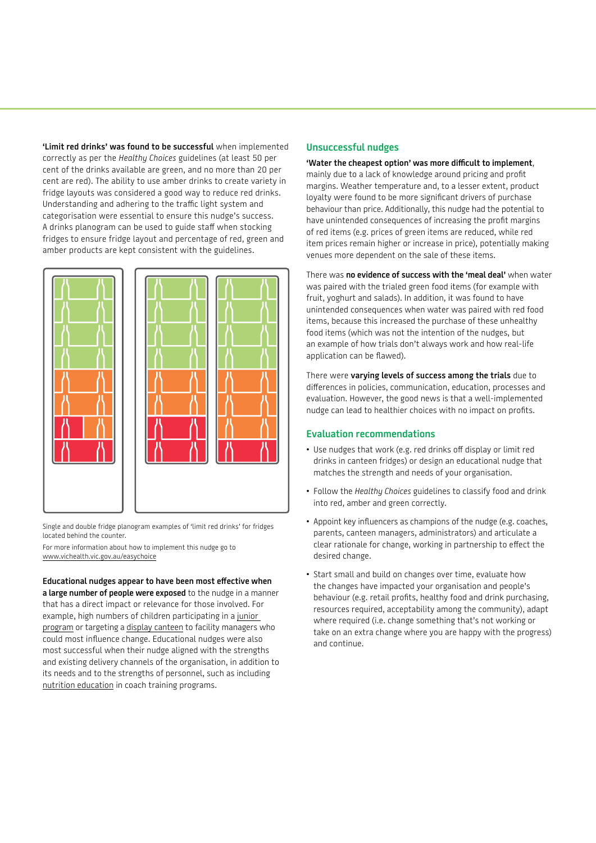**'Limit red drinks' was found to be successful** when implemented correctly as per the *Healthy Choices* guidelines (at least 50 per cent of the drinks available are green, and no more than 20 per cent are red). The ability to use amber drinks to create variety in fridge layouts was considered a good way to reduce red drinks. Understanding and adhering to the traffic light system and categorisation were essential to ensure this nudge's success. A drinks planogram can be used to guide staff when stocking fridges to ensure fridge layout and percentage of red, green and amber products are kept consistent with the guidelines.



Single and double fridge planogram examples of 'limit red drinks' for fridges located behind the counter.

For more information about how to implement this nudge go to www.vichealth.vic.gov.au/easychoice

**Educational nudges appear to have been most effective when a large number of people were exposed** to the nudge in a manner that has a direct impact or relevance for those involved. For example, high numbers of children participating in a junior program or targeting a display canteen to facility managers who could most influence change. Educational nudges were also most successful when their nudge aligned with the strengths and existing delivery channels of the organisation, in addition to its needs and to the strengths of personnel, such as including nutrition education in coach training programs.

## **Unsuccessful nudges**

## **'Water the cheapest option' was more difficult to implement**,

mainly due to a lack of knowledge around pricing and profit margins. Weather temperature and, to a lesser extent, product loyalty were found to be more significant drivers of purchase behaviour than price. Additionally, this nudge had the potential to have unintended consequences of increasing the profit margins of red items (e.g. prices of green items are reduced, while red item prices remain higher or increase in price), potentially making venues more dependent on the sale of these items.

There was **no evidence of success with the 'meal deal'** when water was paired with the trialed green food items (for example with fruit, yoghurt and salads). In addition, it was found to have unintended consequences when water was paired with red food items, because this increased the purchase of these unhealthy food items (which was not the intention of the nudges, but an example of how trials don't always work and how real-life application can be flawed).

There were **varying levels of success among the trials** due to differences in policies, communication, education, processes and evaluation. However, the good news is that a well-implemented nudge can lead to healthier choices with no impact on profits.

## **Evaluation recommendations**

- Use nudges that work (e.g. red drinks off display or limit red drinks in canteen fridges) or design an educational nudge that matches the strength and needs of your organisation.
- Follow the *Healthy Choices* guidelines to classify food and drink into red, amber and green correctly.
- Appoint key influencers as champions of the nudge (e.g. coaches, parents, canteen managers, administrators) and articulate a clear rationale for change, working in partnership to effect the desired change.
- Start small and build on changes over time, evaluate how the changes have impacted your organisation and people's behaviour (e.g. retail profits, healthy food and drink purchasing, resources required, acceptability among the community), adapt where required (i.e. change something that's not working or take on an extra change where you are happy with the progress) and continue.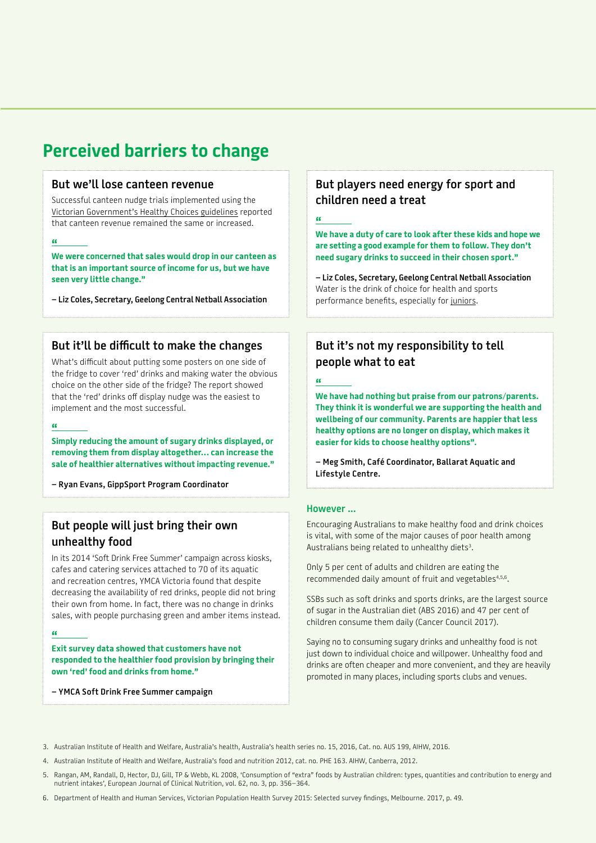## **Perceived barriers to change**

## **But we'll lose canteen revenue**

Successful canteen nudge trials implemented using the [Victorian Government's Healthy Choices guidelines](https://www2.health.vic.gov.au/public-health/preventive-health/nutrition/healthy-choices-for-retail-outlets-vending-machines-catering) reported that canteen revenue remained the same or increased.

## **"**

**We were concerned that sales would drop in our canteen as that is an important source of income for us, but we have seen very little change."**

**– Liz Coles, Secretary, Geelong Central Netball Association**

## **But it'll be difficult to make the changes**

What's difficult about putting some posters on one side of the fridge to cover 'red' drinks and making water the obvious choice on the other side of the fridge? The report showed that the 'red' drinks off display nudge was the easiest to implement and the most successful.

#### **"**

**Simply reducing the amount of sugary drinks displayed, or removing them from display altogether… can increase the sale of healthier alternatives without impacting revenue."**

**– Ryan Evans, GippSport Program Coordinator**

## **But people will just bring their own unhealthy food**

In its 2014 'Soft Drink Free Summer' campaign across kiosks, cafes and catering services attached to 70 of its aquatic and recreation centres, YMCA Victoria found that despite decreasing the availability of red drinks, people did not bring their own from home. In fact, there was no change in drinks sales, with people purchasing green and amber items instead.

## **"**

**Exit survey data showed that customers have not responded to the healthier food provision by bringing their own 'red' food and drinks from home."** 

**– YMCA Soft Drink Free Summer campaign**

## **But players need energy for sport and children need a treat**

## $^{\circ}$

**We have a duty of care to look after these kids and hope we are setting a good example for them to follow. They don't need sugary drinks to succeed in their chosen sport."**

**– Liz Coles, Secretary, Geelong Central Netball Association** Water is the drink of choice for health and sports performance benefits, especially for [juniors.](https://www.vichealth.vic.gov.au/search/water-in-junior-sport)

## **But it's not my responsibility to tell people what to eat**

**"** 

**We have had nothing but praise from our patrons/parents. They think it is wonderful we are supporting the health and wellbeing of our community. Parents are happier that less healthy options are no longer on display, which makes it easier for kids to choose healthy options".**

**– Meg Smith, Café Coordinator, Ballarat Aquatic and Lifestyle Centre.**

## **However ...**

Encouraging Australians to make healthy food and drink choices is vital, with some of the major causes of poor health among Australians being related to unhealthy diets<sup>3</sup>.

Only 5 per cent of adults and children are eating the recommended daily amount of fruit and vegetables<sup>4,5,6</sup>.

SSBs such as soft drinks and sports drinks, are the largest source of sugar in the Australian diet (ABS 2016) and 47 per cent of children consume them daily (Cancer Council 2017).

Saying no to consuming sugary drinks and unhealthy food is not just down to individual choice and willpower. Unhealthy food and drinks are often cheaper and more convenient, and they are heavily promoted in many places, including sports clubs and venues.

3. Australian Institute of Health and Welfare, Australia's health, Australia's health series no. 15, 2016, Cat. no. AUS 199, AIHW, 2016.

4. Australian Institute of Health and Welfare, Australia's food and nutrition 2012, cat. no. PHE 163. AIHW, Canberra, 2012.

5. Rangan, AM, Randall, D, Hector, DJ, Gill, TP & Webb, KL 2008, 'Consumption of "extra" foods by Australian children: types, quantities and contribution to energy and nutrient intakes', European Journal of Clinical Nutrition, vol. 62, no. 3, pp. 356–364.

6. Department of Health and Human Services, Victorian Population Health Survey 2015: Selected survey findings, Melbourne. 2017, p. 49.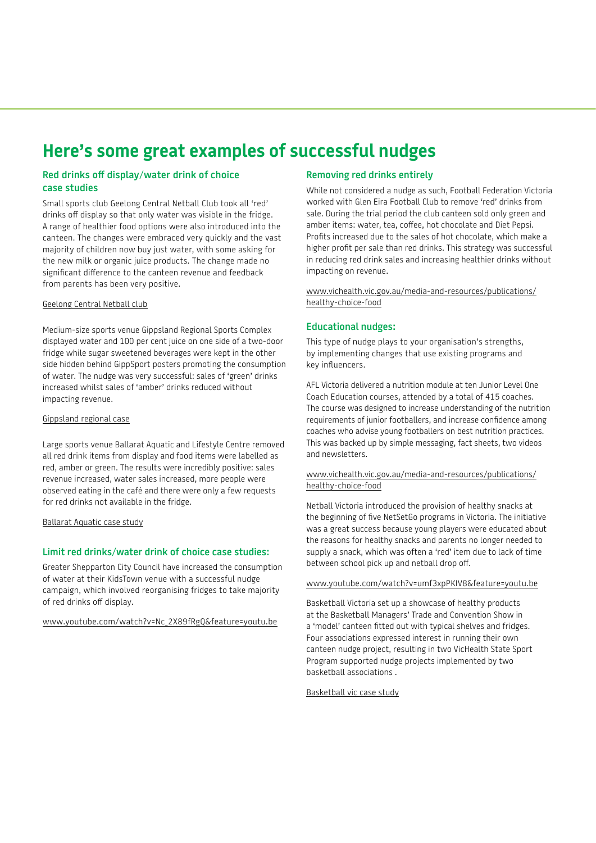## **Here's some great examples of successful nudges**

## **Red drinks off display/water drink of choice case studies**

Small sports club Geelong Central Netball Club took all 'red' drinks off display so that only water was visible in the fridge. A range of healthier food options were also introduced into the canteen. The changes were embraced very quickly and the vast majority of children now buy just water, with some asking for the new milk or organic juice products. The change made no significant difference to the canteen revenue and feedback from parents has been very positive.

## [Geelong Central Netball club](https://www.vichealth.vic.gov.au/-/media/ResourceCentre/PublicationsandResources/healthy-eating/Healthy-Choice/Geelong-Central-Netball-Association-case-study.pdf)

Medium-size sports venue Gippsland Regional Sports Complex displayed water and 100 per cent juice on one side of a two-door fridge while sugar sweetened beverages were kept in the other side hidden behind GippSport posters promoting the consumption of water. The nudge was very successful: sales of 'green' drinks increased whilst sales of 'amber' drinks reduced without impacting revenue.

#### [Gippsland regional case](https://www.vichealth.vic.gov.au/-/media/ResourceCentre/PublicationsandResources/healthy-eating/Healthy-Choice/Gippsland-Regional-Sport-Complex-case-study.pdf)

Large sports venue Ballarat Aquatic and Lifestyle Centre removed all red drink items from display and food items were labelled as red, amber or green. The results were incredibly positive: sales revenue increased, water sales increased, more people were observed eating in the café and there were only a few requests for red drinks not available in the fridge.

[Ballarat Aquatic case study](https://www.vichealth.vic.gov.au/-/media/ResourceCentre/PublicationsandResources/healthy-eating/Healthy-Choice/Ballarat-Aquatic-and-Lifestyle-Centre-case-study.pdf)

## **Limit red drinks/water drink of choice case studies:**

Greater Shepparton City Council have increased the consumption of water at their KidsTown venue with a successful nudge campaign, which involved reorganising fridges to take majority of red drinks off display.

[www.youtube.com/watch?v=Nc\\_2X89fRgQ&feature=youtu.be](https://www.youtube.com/watch?v=Nc_2X89fRgQ&feature=youtu.be)

## **Removing red drinks entirely**

While not considered a nudge as such, Football Federation Victoria worked with Glen Eira Football Club to remove 'red' drinks from sale. During the trial period the club canteen sold only green and amber items: water, tea, coffee, hot chocolate and Diet Pepsi. Profits increased due to the sales of hot chocolate, which make a higher profit per sale than red drinks. This strategy was successful in reducing red drink sales and increasing healthier drinks without impacting on revenue.

## [www.vichealth.vic.gov.au/media-and-resources/publications/](https://www.vichealth.vic.gov.au/media-and-resources/publications/healthy-choice-food) [healthy-choice-food](https://www.vichealth.vic.gov.au/media-and-resources/publications/healthy-choice-food)

## **Educational nudges:**

This type of nudge plays to your organisation's strengths, by implementing changes that use existing programs and key influencers.

AFL Victoria delivered a nutrition module at ten Junior Level One Coach Education courses, attended by a total of 415 coaches. The course was designed to increase understanding of the nutrition requirements of junior footballers, and increase confidence among coaches who advise young footballers on best nutrition practices. This was backed up by simple messaging, fact sheets, two videos and newsletters.

#### [www.vichealth.vic.gov.au/media-and-resources/publications/](https://www.vichealth.vic.gov.au/media-and-resources/publications/healthy-choice-food) [healthy-choice-food](https://www.vichealth.vic.gov.au/media-and-resources/publications/healthy-choice-food)

Netball Victoria introduced the provision of healthy snacks at the beginning of five NetSetGo programs in Victoria. The initiative was a great success because young players were educated about the reasons for healthy snacks and parents no longer needed to supply a snack, which was often a 'red' item due to lack of time between school pick up and netball drop off.

#### [www.youtube.com/watch?v=umf3xpPKIV8&feature=youtu.be](https://www.youtube.com/watch?v=umf3xpPKIV8&feature=youtu.be)

Basketball Victoria set up a showcase of healthy products at the Basketball Managers' Trade and Convention Show in a 'model' canteen fitted out with typical shelves and fridges. Four associations expressed interest in running their own canteen nudge project, resulting in two VicHealth State Sport Program supported nudge projects implemented by two basketball associations .

[Basketball vic case study](https://www.vichealth.vic.gov.au/-/media/ResourceCentre/PublicationsandResources/healthy-eating/Healthy-Choice/Basketball-Victoria-case-study.pdf)